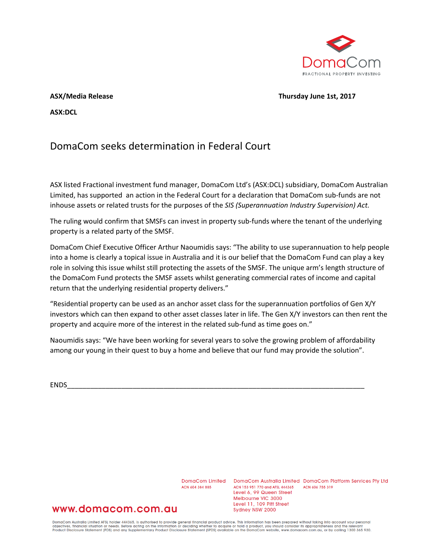

## **ASX/Media Release Thursday June 1st, 2017**

**ASX:DCL**

# DomaCom seeks determination in Federal Court

ASX listed Fractional investment fund manager, DomaCom Ltd's (ASX:DCL) subsidiary, DomaCom Australian Limited, has supported an action in the Federal Court for a declaration that DomaCom sub-funds are not inhouse assets or related trusts for the purposes of the *SIS (Superannuation Industry Supervision) Act.*

The ruling would confirm that SMSFs can invest in property sub-funds where the tenant of the underlying property is a related party of the SMSF.

DomaCom Chief Executive Officer Arthur Naoumidis says: "The ability to use superannuation to help people into a home is clearly a topical issue in Australia and it is our belief that the DomaCom Fund can play a key role in solving this issue whilst still protecting the assets of the SMSF. The unique arm's length structure of the DomaCom Fund protects the SMSF assets whilst generating commercial rates of income and capital return that the underlying residential property delivers."

"Residential property can be used as an anchor asset class for the superannuation portfolios of Gen X/Y investors which can then expand to other asset classes later in life. The Gen X/Y investors can then rent the property and acquire more of the interest in the related sub-fund as time goes on."

Naoumidis says: "We have been working for several years to solve the growing problem of affordability among our young in their quest to buy a home and believe that our fund may provide the solution".

ENDS\_\_\_\_\_\_\_\_\_\_\_\_\_\_\_\_\_\_\_\_\_\_\_\_\_\_\_\_\_\_\_\_\_\_\_\_\_\_\_\_\_\_\_\_\_\_\_\_\_\_\_\_\_\_\_\_\_\_\_\_\_\_\_\_\_\_\_\_\_\_\_\_\_\_\_\_\_

ACN 604 384 885

DomaCom Limited DomaCom Australia Limited DomaCom Platform Services Pty Ltd ACN 153 951 770 and AFSL 444365 ACN 606 755 319 Level 6, 99 Queen Street Melbourne VIC 3000 Level 11, 109 Pitt Street Sydney NSW 2000

# www.domacom.com.au

DomaCom Australia Limited AFSL holder 444365, is authorised to provide general financial product advice. This information has been prepared without taking into account your personal<br>objectives, financial situation or needs